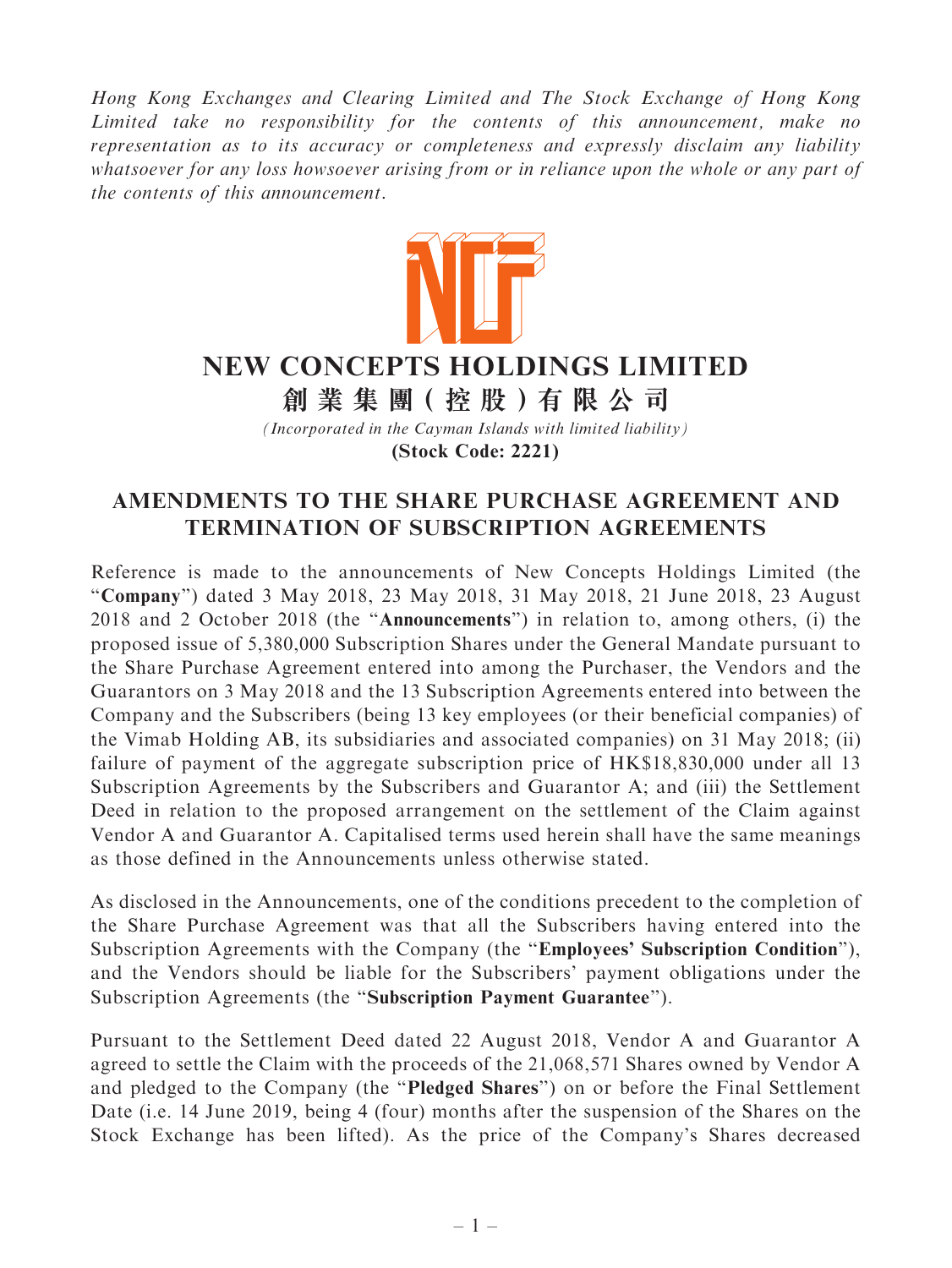Hong Kong Exchanges and Clearing Limited and The Stock Exchange of Hong Kong Limited take no responsibility for the contents of this announcement, make no representation as to its accuracy or completeness and expressly disclaim any liability whatsoever for any loss howsoever arising from or in reliance upon the whole or any part of the contents of this announcement.



# **NEW CONCEPTS HOLDINGS LIMITED**

**創 業 集 團( 控 股 )有 限 公 司**

*(Incorporated in the Cayman Islands with limited liability)* **(Stock Code: 2221)**

## AMENDMENTS TO THE SHARE PURCHASE AGREEMENT AND TERMINATION OF SUBSCRIPTION AGREEMENTS

Reference is made to the announcements of New Concepts Holdings Limited (the "Company") dated 3 May 2018, 23 May 2018, 31 May 2018, 21 June 2018, 23 August 2018 and 2 October 2018 (the ''Announcements'') in relation to, among others, (i) the proposed issue of 5,380,000 Subscription Shares under the General Mandate pursuant to the Share Purchase Agreement entered into among the Purchaser, the Vendors and the Guarantors on 3 May 2018 and the 13 Subscription Agreements entered into between the Company and the Subscribers (being 13 key employees (or their beneficial companies) of the Vimab Holding AB, its subsidiaries and associated companies) on 31 May 2018; (ii) failure of payment of the aggregate subscription price of HK\$18,830,000 under all 13 Subscription Agreements by the Subscribers and Guarantor A; and (iii) the Settlement Deed in relation to the proposed arrangement on the settlement of the Claim against Vendor A and Guarantor A. Capitalised terms used herein shall have the same meanings as those defined in the Announcements unless otherwise stated.

As disclosed in the Announcements, one of the conditions precedent to the completion of the Share Purchase Agreement was that all the Subscribers having entered into the Subscription Agreements with the Company (the ''Employees' Subscription Condition''), and the Vendors should be liable for the Subscribers' payment obligations under the Subscription Agreements (the "Subscription Payment Guarantee").

Pursuant to the Settlement Deed dated 22 August 2018, Vendor A and Guarantor A agreed to settle the Claim with the proceeds of the 21,068,571 Shares owned by Vendor A and pledged to the Company (the ''Pledged Shares'') on or before the Final Settlement Date (i.e. 14 June 2019, being 4 (four) months after the suspension of the Shares on the Stock Exchange has been lifted). As the price of the Company's Shares decreased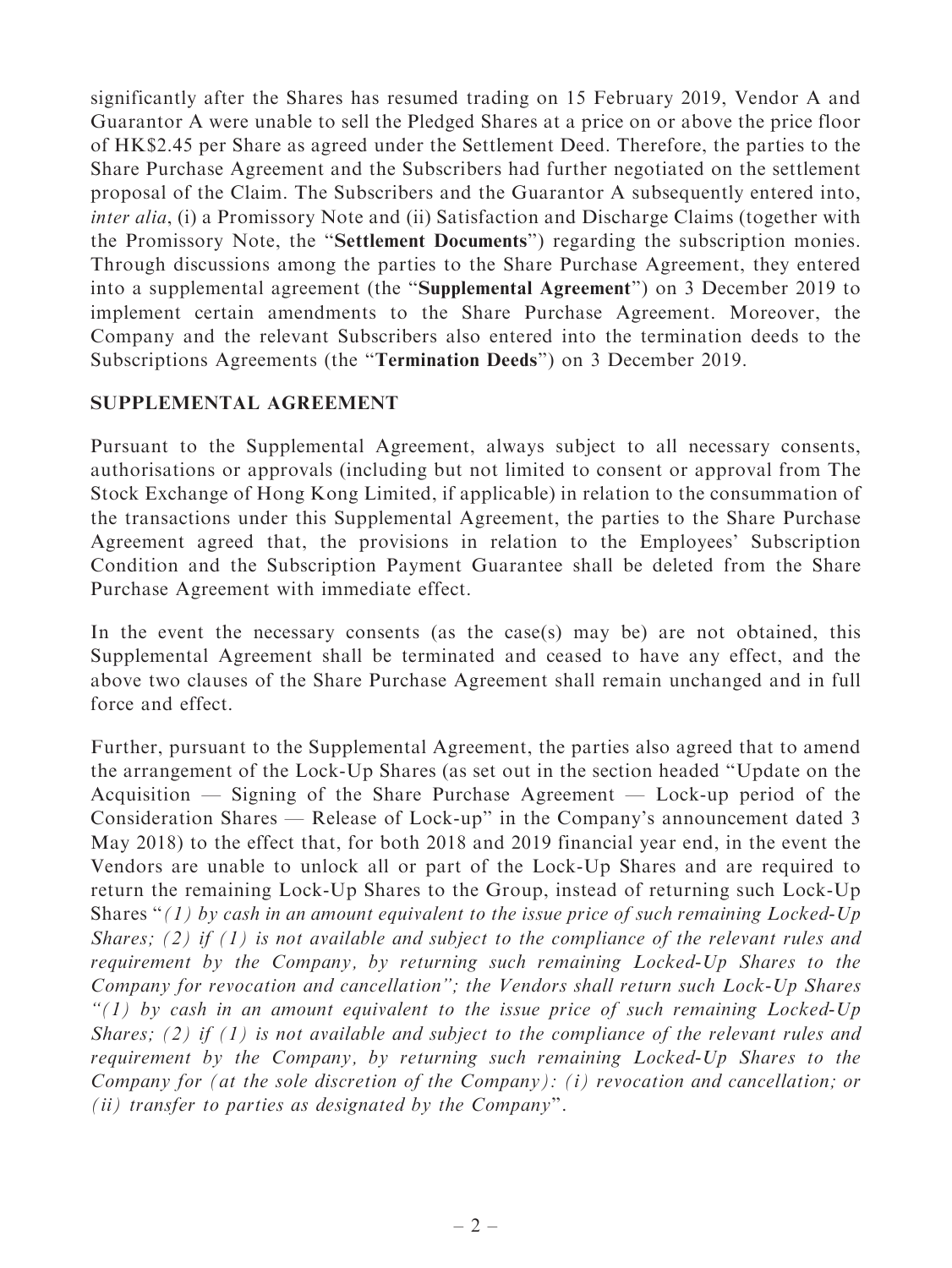significantly after the Shares has resumed trading on 15 February 2019, Vendor A and Guarantor A were unable to sell the Pledged Shares at a price on or above the price floor of HK\$2.45 per Share as agreed under the Settlement Deed. Therefore, the parties to the Share Purchase Agreement and the Subscribers had further negotiated on the settlement proposal of the Claim. The Subscribers and the Guarantor A subsequently entered into, inter alia, (i) a Promissory Note and (ii) Satisfaction and Discharge Claims (together with the Promissory Note, the ''Settlement Documents'') regarding the subscription monies. Through discussions among the parties to the Share Purchase Agreement, they entered into a supplemental agreement (the ''Supplemental Agreement'') on 3 December 2019 to implement certain amendments to the Share Purchase Agreement. Moreover, the Company and the relevant Subscribers also entered into the termination deeds to the Subscriptions Agreements (the ''Termination Deeds'') on 3 December 2019.

#### SUPPLEMENTAL AGREEMENT

Pursuant to the Supplemental Agreement, always subject to all necessary consents, authorisations or approvals (including but not limited to consent or approval from The Stock Exchange of Hong Kong Limited, if applicable) in relation to the consummation of the transactions under this Supplemental Agreement, the parties to the Share Purchase Agreement agreed that, the provisions in relation to the Employees' Subscription Condition and the Subscription Payment Guarantee shall be deleted from the Share Purchase Agreement with immediate effect.

In the event the necessary consents (as the case(s) may be) are not obtained, this Supplemental Agreement shall be terminated and ceased to have any effect, and the above two clauses of the Share Purchase Agreement shall remain unchanged and in full force and effect.

Further, pursuant to the Supplemental Agreement, the parties also agreed that to amend the arrangement of the Lock-Up Shares (as set out in the section headed ''Update on the Acquisition — Signing of the Share Purchase Agreement — Lock-up period of the Consideration Shares — Release of Lock-up'' in the Company's announcement dated 3 May 2018) to the effect that, for both 2018 and 2019 financial year end, in the event the Vendors are unable to unlock all or part of the Lock-Up Shares and are required to return the remaining Lock-Up Shares to the Group, instead of returning such Lock-Up Shares " $(1)$  by cash in an amount equivalent to the issue price of such remaining Locked-Up Shares; (2) if (1) is not available and subject to the compliance of the relevant rules and requirement by the Company, by returning such remaining Locked-Up Shares to the Company for revocation and cancellation''; the Vendors shall return such Lock-Up Shares  $''(1)$  by cash in an amount equivalent to the issue price of such remaining Locked-Up Shares; (2) if (1) is not available and subject to the compliance of the relevant rules and requirement by the Company, by returning such remaining Locked-Up Shares to the Company for (at the sole discretion of the Company): (i) revocation and cancellation; or (ii) transfer to parties as designated by the Company''.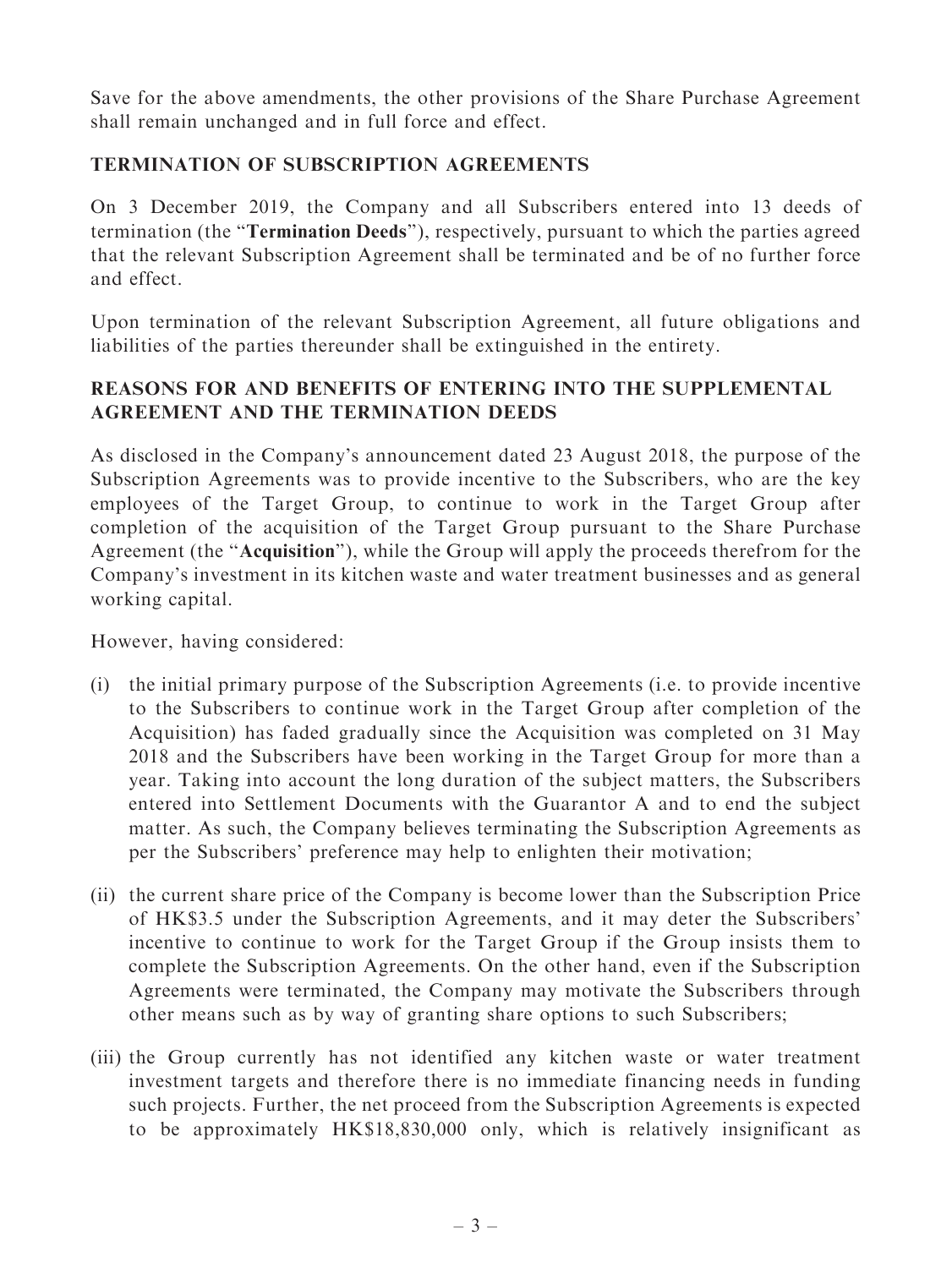Save for the above amendments, the other provisions of the Share Purchase Agreement shall remain unchanged and in full force and effect.

### TERMINATION OF SUBSCRIPTION AGREEMENTS

On 3 December 2019, the Company and all Subscribers entered into 13 deeds of termination (the ''Termination Deeds''), respectively, pursuant to which the parties agreed that the relevant Subscription Agreement shall be terminated and be of no further force and effect.

Upon termination of the relevant Subscription Agreement, all future obligations and liabilities of the parties thereunder shall be extinguished in the entirety.

## REASONS FOR AND BENEFITS OF ENTERING INTO THE SUPPLEMENTAL AGREEMENT AND THE TERMINATION DEEDS

As disclosed in the Company's announcement dated 23 August 2018, the purpose of the Subscription Agreements was to provide incentive to the Subscribers, who are the key employees of the Target Group, to continue to work in the Target Group after completion of the acquisition of the Target Group pursuant to the Share Purchase Agreement (the ''Acquisition''), while the Group will apply the proceeds therefrom for the Company's investment in its kitchen waste and water treatment businesses and as general working capital.

However, having considered:

- (i) the initial primary purpose of the Subscription Agreements (i.e. to provide incentive to the Subscribers to continue work in the Target Group after completion of the Acquisition) has faded gradually since the Acquisition was completed on 31 May 2018 and the Subscribers have been working in the Target Group for more than a year. Taking into account the long duration of the subject matters, the Subscribers entered into Settlement Documents with the Guarantor A and to end the subject matter. As such, the Company believes terminating the Subscription Agreements as per the Subscribers' preference may help to enlighten their motivation;
- (ii) the current share price of the Company is become lower than the Subscription Price of HK\$3.5 under the Subscription Agreements, and it may deter the Subscribers' incentive to continue to work for the Target Group if the Group insists them to complete the Subscription Agreements. On the other hand, even if the Subscription Agreements were terminated, the Company may motivate the Subscribers through other means such as by way of granting share options to such Subscribers;
- (iii) the Group currently has not identified any kitchen waste or water treatment investment targets and therefore there is no immediate financing needs in funding such projects. Further, the net proceed from the Subscription Agreements is expected to be approximately HK\$18,830,000 only, which is relatively insignificant as